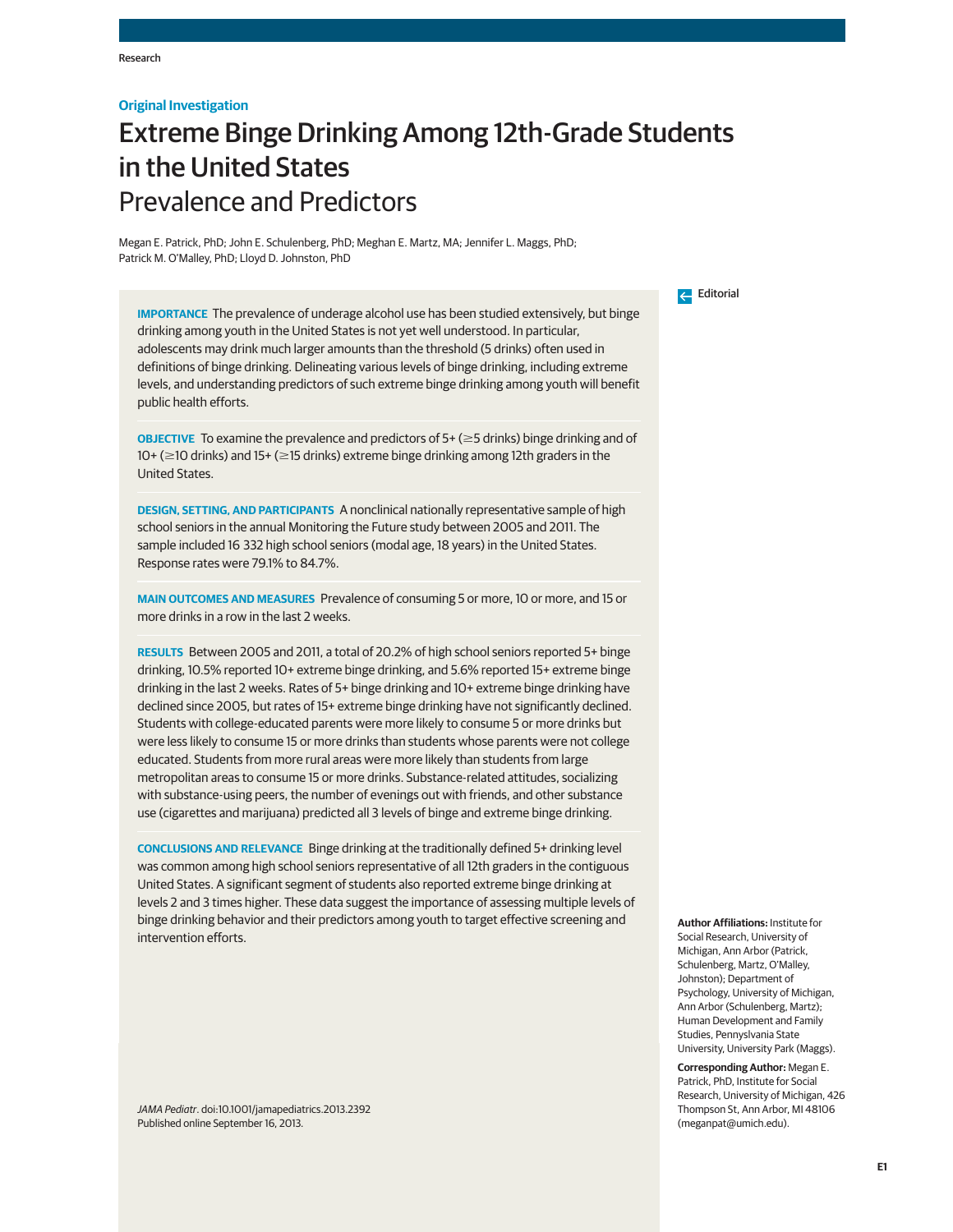## **Original Investigation**

# Extreme Binge Drinking Among 12th-Grade Students in the United States Prevalence and Predictors

Megan E. Patrick, PhD; John E. Schulenberg, PhD; Meghan E. Martz, MA; Jennifer L. Maggs, PhD; Patrick M. O'Malley, PhD; Lloyd D. Johnston, PhD

**IMPORTANCE** The prevalence of underage alcohol use has been studied extensively, but binge drinking among youth in the United States is not yet well understood. In particular, adolescents may drink much larger amounts than the threshold (5 drinks) often used in definitions of binge drinking. Delineating various levels of binge drinking, including extreme levels, and understanding predictors of such extreme binge drinking among youth will benefit public health efforts.

**OBJECTIVE** To examine the prevalence and predictors of  $5+$  ( $\geq$ 5 drinks) binge drinking and of 10+ (≥10 drinks) and 15+ (≥15 drinks) extreme binge drinking among 12th graders in the United States.

**DESIGN, SETTING, AND PARTICIPANTS** A nonclinical nationally representative sample of high school seniors in the annual Monitoring the Future study between 2005 and 2011. The sample included 16 332 high school seniors (modal age, 18 years) in the United States. Response rates were 79.1% to 84.7%.

**MAIN OUTCOMES AND MEASURES** Prevalence of consuming 5 or more, 10 or more, and 15 or more drinks in a row in the last 2 weeks.

**RESULTS** Between 2005 and 2011, a total of 20.2% of high school seniors reported 5+ binge drinking, 10.5% reported 10+ extreme binge drinking, and 5.6% reported 15+ extreme binge drinking in the last 2 weeks. Rates of 5+ binge drinking and 10+ extreme binge drinking have declined since 2005, but rates of 15+ extreme binge drinking have not significantly declined. Students with college-educated parents were more likely to consume 5 or more drinks but were less likely to consume 15 or more drinks than students whose parents were not college educated. Students from more rural areas were more likely than students from large metropolitan areas to consume 15 or more drinks. Substance-related attitudes, socializing with substance-using peers, the number of evenings out with friends, and other substance use (cigarettes and marijuana) predicted all 3 levels of binge and extreme binge drinking.

**CONCLUSIONS AND RELEVANCE** Binge drinking at the traditionally defined 5+ drinking level was common among high school seniors representative of all 12th graders in the contiguous United States. A significant segment of students also reported extreme binge drinking at levels 2 and 3 times higher. These data suggest the importance of assessing multiple levels of binge drinking behavior and their predictors among youth to target effective screening and intervention efforts.

JAMA Pediatr. doi:10.1001/jamapediatrics.2013.2392 Published online September 16, 2013.

Editorial

**Author Affiliations:** Institute for Social Research, University of Michigan, Ann Arbor (Patrick, Schulenberg, Martz, O'Malley, Johnston); Department of Psychology, University of Michigan, Ann Arbor (Schulenberg, Martz); Human Development and Family Studies, Pennyslvania State University, University Park (Maggs).

**Corresponding Author:** Megan E. Patrick, PhD, Institute for Social Research, University of Michigan, 426 Thompson St, Ann Arbor, MI 48106 (meganpat@umich.edu).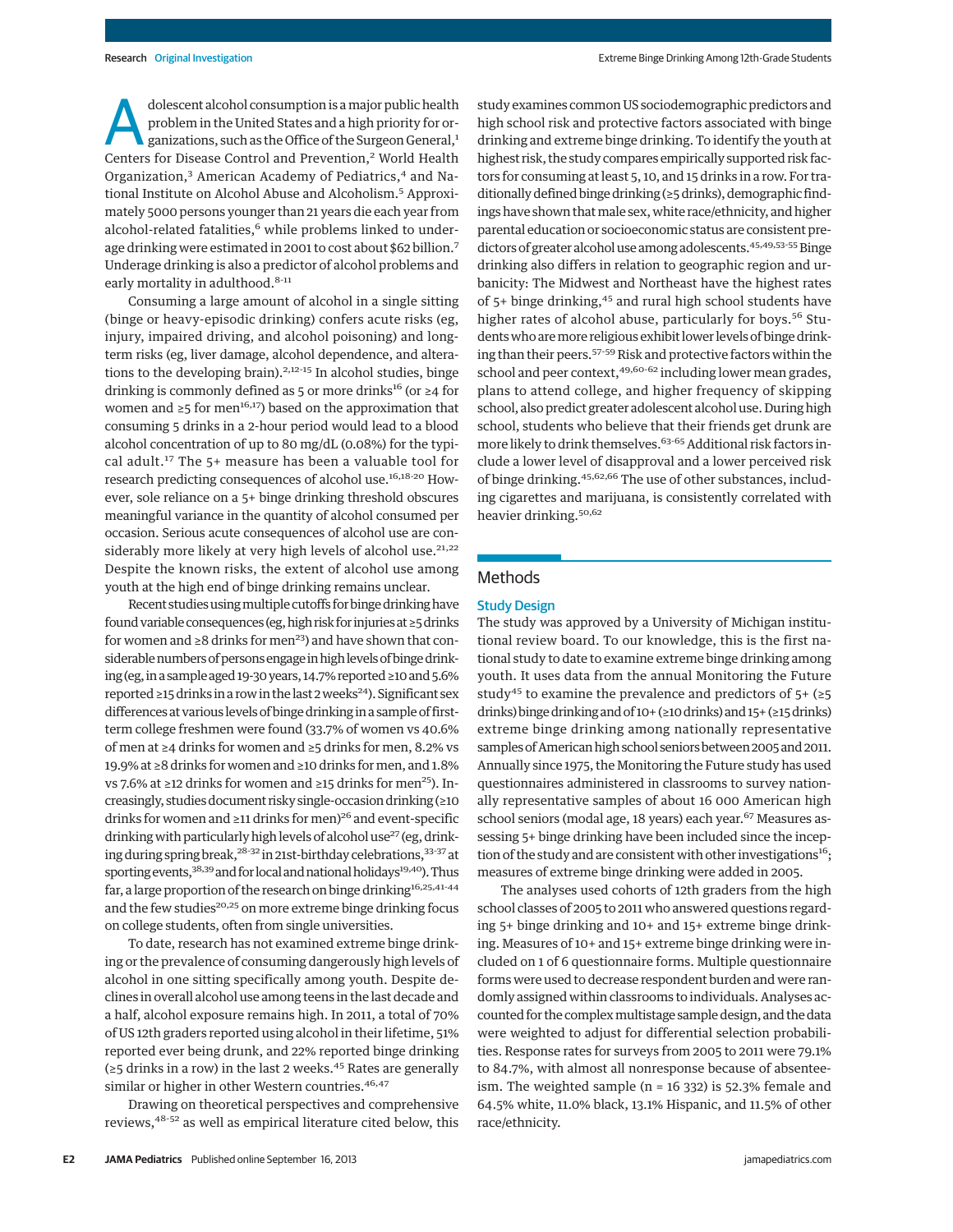dolescent alcohol consumption is a major public health<br>problem in the United States and a high priority for or-<br>ganizations, such as the Office of the Surgeon General,<sup>1</sup><br>Contacts for Disoase Control and Provention <sup>2</sup> Wor problem in the United States and a high priority for or-Centers for Disease Control and Prevention,<sup>2</sup> World Health Organization,<sup>3</sup> American Academy of Pediatrics,<sup>4</sup> and National Institute on Alcohol Abuse and Alcoholism.<sup>5</sup> Approximately 5000 persons younger than 21 years die each year from alcohol-related fatalities,<sup>6</sup> while problems linked to underage drinking were estimated in 2001 to cost about \$62 billion.7 Underage drinking is also a predictor of alcohol problems and early mortality in adulthood.<sup>8-11</sup>

Consuming a large amount of alcohol in a single sitting (binge or heavy-episodic drinking) confers acute risks (eg, injury, impaired driving, and alcohol poisoning) and longterm risks (eg, liver damage, alcohol dependence, and alterations to the developing brain).<sup>2,12-15</sup> In alcohol studies, binge drinking is commonly defined as 5 or more drinks<sup>16</sup> (or ≥4 for women and  $\geq 5$  for men<sup>16,17</sup>) based on the approximation that consuming 5 drinks in a 2-hour period would lead to a blood alcohol concentration of up to 80 mg/dL (0.08%) for the typical adult.<sup>17</sup> The 5+ measure has been a valuable tool for research predicting consequences of alcohol use.<sup>16,18-20</sup> However, sole reliance on a 5+ binge drinking threshold obscures meaningful variance in the quantity of alcohol consumed per occasion. Serious acute consequences of alcohol use are considerably more likely at very high levels of alcohol use. $21,22$ Despite the known risks, the extent of alcohol use among youth at the high end of binge drinking remains unclear.

Recent studies using multiple cutoffs for binge drinking have found variable consequences (eg, high risk for injuries at ≥5 drinks for women and  $\geq 8$  drinks for men<sup>23</sup>) and have shown that considerable numbers of persons engage in high levels of binge drinking (eg, in a sample aged 19-30 years, 14.7% reported ≥10 and 5.6% reported ≥15 drinks in a row in the last 2 weeks<sup>24</sup>). Significant sex differences at various levels of binge drinking in a sample of firstterm college freshmen were found (33.7% of women vs 40.6% of men at ≥4 drinks for women and ≥5 drinks for men, 8.2% vs 19.9% at ≥8 drinks for women and ≥10 drinks formen, and 1.8% vs 7.6% at ≥12 drinks for women and ≥15 drinks for men<sup>25</sup>). Increasingly, studies document risky single-occasion drinking (≥10 drinks for women and ≥11 drinks for men)<sup>26</sup> and event-specific drinking with particularly high levels of alcohol use<sup>27</sup> (eg, drinking during spring break,<sup>28-32</sup> in 21st-birthday celebrations,<sup>33-37</sup> at sporting events, 38,39 and for local and national holidays<sup>19,40</sup>). Thus far, a large proportion of the research on binge drinking<sup>16,25,41-44</sup> and the few studies<sup>20,25</sup> on more extreme binge drinking focus on college students, often from single universities.

To date, research has not examined extreme binge drinking or the prevalence of consuming dangerously high levels of alcohol in one sitting specifically among youth. Despite declines in overall alcohol use among teens in the last decade and a half, alcohol exposure remains high. In 2011, a total of 70% of US 12th graders reported using alcohol in their lifetime, 51% reported ever being drunk, and 22% reported binge drinking (≥5 drinks in a row) in the last 2 weeks.<sup>45</sup> Rates are generally similar or higher in other Western countries.<sup>46,47</sup>

Drawing on theoretical perspectives and comprehensive reviews,48-52 as well as empirical literature cited below, this study examines common US sociodemographic predictors and high school risk and protective factors associated with binge drinking and extreme binge drinking. To identify the youth at highest risk, the study compares empirically supported risk factors for consuming at least 5, 10, and 15 drinks in a row. For traditionally defined binge drinking (≥5 drinks), demographic findings have shown that male sex, white race/ethnicity, and higher parental education or socioeconomic status are consistent predictors of greater alcohol use among adolescents.<sup>45,49,53-55</sup> Binge drinking also differs in relation to geographic region and urbanicity: The Midwest and Northeast have the highest rates of 5+ binge drinking,<sup>45</sup> and rural high school students have higher rates of alcohol abuse, particularly for boys.<sup>56</sup> Studentswho aremore religious exhibit lower levels of binge drinking than their peers.<sup>57-59</sup> Risk and protective factors within the school and peer context,<sup>49,60-62</sup> including lower mean grades, plans to attend college, and higher frequency of skipping school, also predict greater adolescent alcohol use. During high school, students who believe that their friends get drunk are more likely to drink themselves.<sup>63-65</sup> Additional risk factors include a lower level of disapproval and a lower perceived risk of binge drinking.45,62,66 The use of other substances, including cigarettes and marijuana, is consistently correlated with heavier drinking.<sup>50,62</sup>

## Methods

## Study Design

The study was approved by a University of Michigan institutional review board. To our knowledge, this is the first national study to date to examine extreme binge drinking among youth. It uses data from the annual Monitoring the Future study<sup>45</sup> to examine the prevalence and predictors of  $5+$  (≥5 drinks) bingedrinking and of 10+ (≥10drinks) and 15+ (≥15drinks) extreme binge drinking among nationally representative samples of American high school seniors between 2005 and 2011. Annually since 1975, the Monitoring the Future study has used questionnaires administered in classrooms to survey nationally representative samples of about 16 000 American high school seniors (modal age, 18 years) each year.<sup>67</sup> Measures assessing 5+ binge drinking have been included since the inception of the study and are consistent with other investigations<sup>16</sup>; measures of extreme binge drinking were added in 2005.

The analyses used cohorts of 12th graders from the high school classes of 2005 to 2011 who answered questions regarding 5+ binge drinking and 10+ and 15+ extreme binge drinking. Measures of 10+ and 15+ extreme binge drinking were included on 1 of 6 questionnaire forms. Multiple questionnaire forms were used to decrease respondent burden and were randomly assigned within classrooms to individuals. Analyses accounted for the complexmultistage sample design, and the data were weighted to adjust for differential selection probabilities. Response rates for surveys from 2005 to 2011 were 79.1% to 84.7%, with almost all nonresponse because of absenteeism. The weighted sample (n = 16 332) is 52.3% female and 64.5% white, 11.0% black, 13.1% Hispanic, and 11.5% of other race/ethnicity.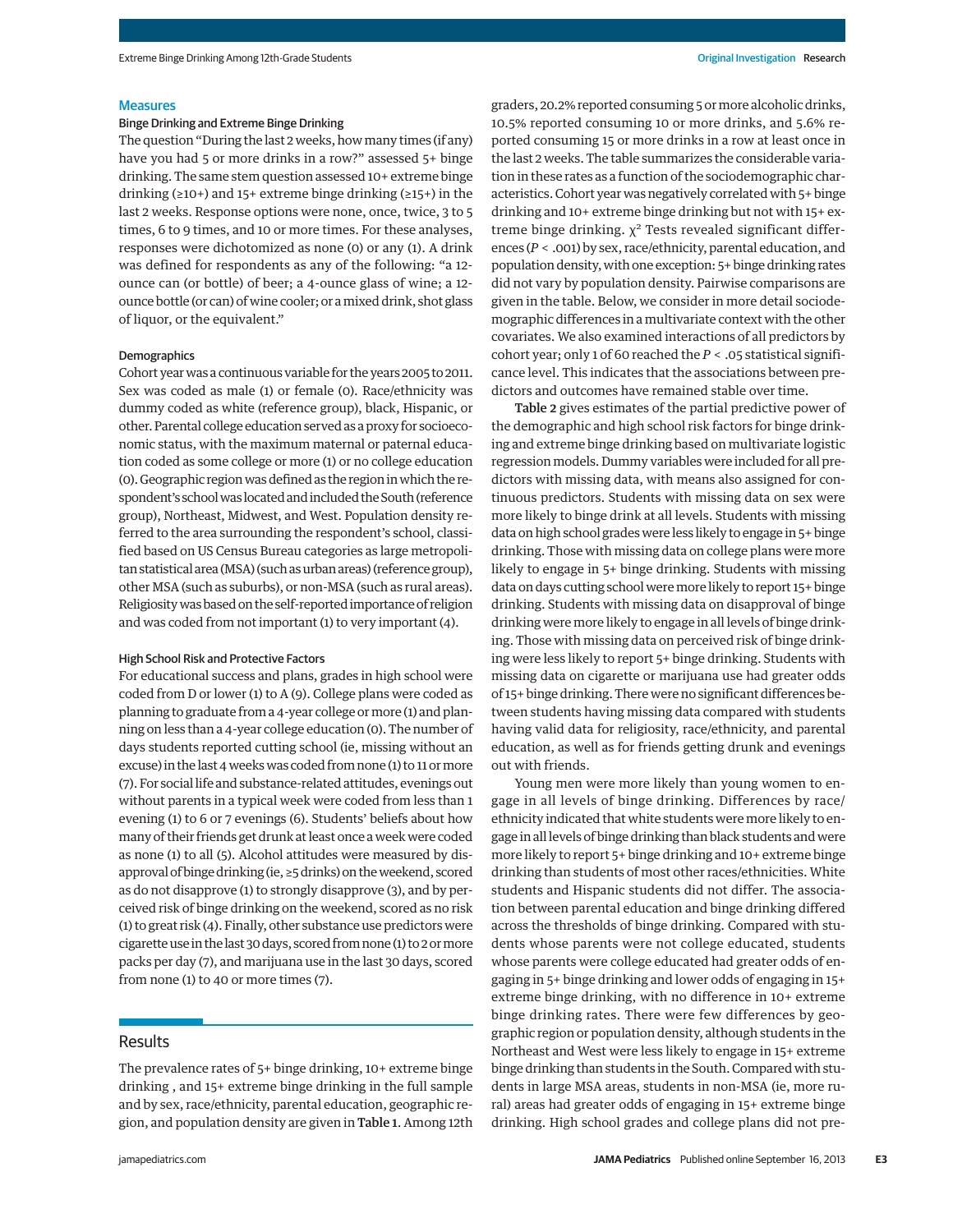#### **Measures**

#### Binge Drinking and Extreme Binge Drinking

The question "During the last 2 weeks, howmany times (if any) have you had 5 or more drinks in a row?" assessed 5+ binge drinking. The same stem question assessed 10+ extreme binge drinking ( $\geq 10+$ ) and 15+ extreme binge drinking ( $\geq 15+$ ) in the last 2 weeks. Response options were none, once, twice, 3 to 5 times, 6 to 9 times, and 10 or more times. For these analyses, responses were dichotomized as none (0) or any (1). A drink was defined for respondents as any of the following: "a 12 ounce can (or bottle) of beer; a 4-ounce glass of wine; a 12 ounce bottle (or can) of wine cooler; or amixed drink, shot glass of liquor, or the equivalent."

#### Demographics

Cohort year was a continuous variable for the years 2005 to 2011. Sex was coded as male (1) or female (0). Race/ethnicity was dummy coded as white (reference group), black, Hispanic, or other. Parental college education served as a proxy for socioeconomic status, with the maximum maternal or paternal education coded as some college or more (1) or no college education (0). Geographic region was defined as the region in which the respondent's school was located and included the South (reference group), Northeast, Midwest, and West. Population density referred to the area surrounding the respondent's school, classified based on US Census Bureau categories as large metropolitan statistical area (MSA) (such asurban areas) (reference group), other MSA (such as suburbs), or non-MSA (such as rural areas). Religiositywas based on the self-reported importance of religion and was coded from not important (1) to very important (4).

## High School Risk and Protective Factors

For educational success and plans, grades in high school were coded from D or lower (1) to A (9). College plans were coded as planning to graduate from a 4-year college or more (1) and planning on less than a 4-year college education (0). The number of days students reported cutting school (ie, missing without an excuse) in the last 4 weeks was coded from none (1) to 11 or more (7). For social life and substance-related attitudes, evenings out without parents in a typical week were coded from less than 1 evening (1) to 6 or 7 evenings (6). Students' beliefs about how many of their friends get drunk at least once a week were coded as none (1) to all (5). Alcohol attitudes were measured by disapproval of binge drinking (ie, ≥5 drinks) on theweekend, scored as do not disapprove (1) to strongly disapprove (3), and by perceived risk of binge drinking on the weekend, scored as no risk (1) to great risk (4). Finally, other substance use predictors were cigarette use in the last 30 days, scored from none (1) to 2 ormore packs per day (7), and marijuana use in the last 30 days, scored from none (1) to 40 or more times (7).

## Results

The prevalence rates of 5+ binge drinking, 10+ extreme binge drinking , and 15+ extreme binge drinking in the full sample and by sex, race/ethnicity, parental education, geographic region, and population density are given in Table 1. Among 12th

graders, 20.2% reported consuming 5 ormore alcoholic drinks, 10.5% reported consuming 10 or more drinks, and 5.6% reported consuming 15 or more drinks in a row at least once in the last 2 weeks. The table summarizes the considerable variation in these rates as a function of the sociodemographic characteristics. Cohort year was negatively correlated with 5+ binge drinking and 10+ extreme binge drinking but not with 15+ extreme binge drinking.  $\chi^2$  Tests revealed significant differences (*P* < .001) by sex, race/ethnicity, parental education, and population density, with one exception: 5+ binge drinking rates did not vary by population density. Pairwise comparisons are given in the table. Below, we consider in more detail sociodemographic differences in a multivariate context with the other covariates. We also examined interactions of all predictors by cohort year; only 1 of 60 reached the *P* < .05 statistical significance level. This indicates that the associations between predictors and outcomes have remained stable over time.

Table 2 gives estimates of the partial predictive power of the demographic and high school risk factors for binge drinking and extreme binge drinking based on multivariate logistic regression models. Dummy variables were included for all predictors with missing data, with means also assigned for continuous predictors. Students with missing data on sex were more likely to binge drink at all levels. Students with missing data on high school grades were less likely to engage in 5+ binge drinking. Those with missing data on college plans were more likely to engage in 5+ binge drinking. Students with missing data on days cutting school weremore likely to report 15+ binge drinking. Students with missing data on disapproval of binge drinking were more likely to engage in all levels of binge drinking. Those with missing data on perceived risk of binge drinking were less likely to report 5+ binge drinking. Students with missing data on cigarette or marijuana use had greater odds of 15+ binge drinking. There were no significant differences between students having missing data compared with students having valid data for religiosity, race/ethnicity, and parental education, as well as for friends getting drunk and evenings out with friends.

Young men were more likely than young women to engage in all levels of binge drinking. Differences by race/ ethnicity indicated that white students were more likely to engage in all levels of binge drinking than black students and were more likely to report 5+ binge drinking and 10+ extreme binge drinking than students of most other races/ethnicities. White students and Hispanic students did not differ. The association between parental education and binge drinking differed across the thresholds of binge drinking. Compared with students whose parents were not college educated, students whose parents were college educated had greater odds of engaging in 5+ binge drinking and lower odds of engaging in 15+ extreme binge drinking, with no difference in 10+ extreme binge drinking rates. There were few differences by geographic region or population density, although students in the Northeast and West were less likely to engage in 15+ extreme binge drinking than students in the South. Compared with students in large MSA areas, students in non-MSA (ie, more rural) areas had greater odds of engaging in 15+ extreme binge drinking. High school grades and college plans did not pre-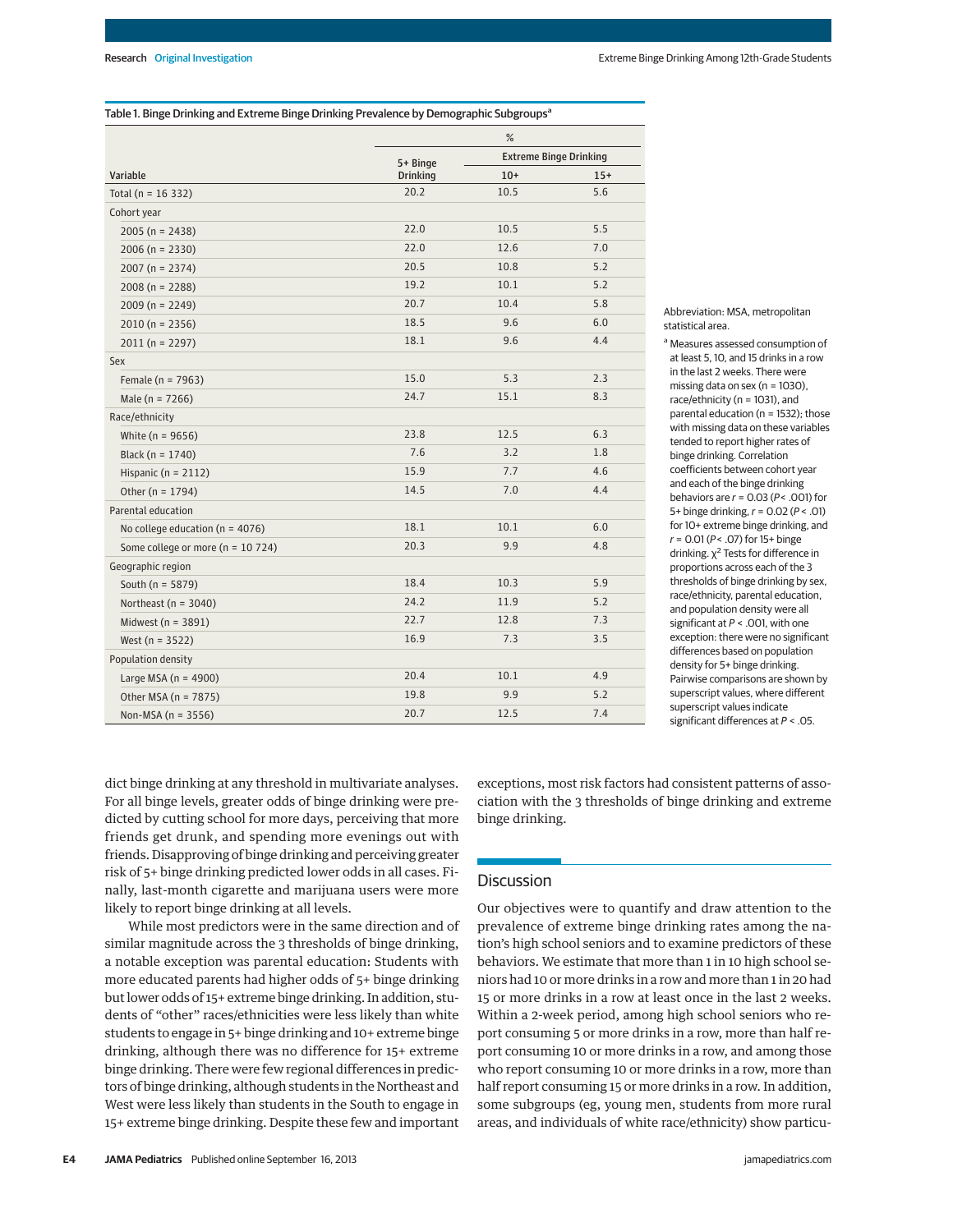| Table 1. Binge Drinking and Extreme Binge Drinking Prevalence by Demographic Subgroups <sup>a</sup> |               |  |  |
|-----------------------------------------------------------------------------------------------------|---------------|--|--|
|                                                                                                     | $\frac{9}{6}$ |  |  |

|                                      | $\sqrt{0}$                  |                               |       |
|--------------------------------------|-----------------------------|-------------------------------|-------|
|                                      | 5+ Binge<br><b>Drinking</b> | <b>Extreme Binge Drinking</b> |       |
| Variable                             |                             | $10+$                         | $15+$ |
| Total ( $n = 16332$ )                | 20.2                        | 10.5                          | 5.6   |
| Cohort year                          |                             |                               |       |
| $2005 (n = 2438)$                    | 22.0                        | 10.5                          | 5.5   |
| $2006 (n = 2330)$                    | 22.0                        | 12.6                          | 7.0   |
| $2007 (n = 2374)$                    | 20.5                        | 10.8                          | 5.2   |
| $2008(n = 2288)$                     | 19.2                        | 10.1                          | 5.2   |
| $2009(n = 2249)$                     | 20.7                        | 10.4                          | 5.8   |
| $2010(n = 2356)$                     | 18.5                        | 9.6                           | 6.0   |
| $2011(n = 2297)$                     | 18.1                        | 9.6                           | 4.4   |
| Sex                                  |                             |                               |       |
| Female ( $n = 7963$ )                | 15.0                        | 5.3                           | 2.3   |
| Male ( $n = 7266$ )                  | 24.7                        | 15.1                          | 8.3   |
| Race/ethnicity                       |                             |                               |       |
| White ( $n = 9656$ )                 | 23.8                        | 12.5                          | 6.3   |
| Black ( $n = 1740$ )                 | 7.6                         | 3.2                           | 1.8   |
| Hispanic ( $n = 2112$ )              | 15.9                        | 7.7                           | 4.6   |
| Other ( $n = 1794$ )                 | 14.5                        | 7.0                           | 4.4   |
| Parental education                   |                             |                               |       |
| No college education ( $n = 4076$ )  | 18.1                        | 10.1                          | 6.0   |
| Some college or more ( $n = 10724$ ) | 20.3                        | 9.9                           | 4.8   |
| Geographic region                    |                             |                               |       |
| South ( $n = 5879$ )                 | 18.4                        | 10.3                          | 5.9   |
| Northeast ( $n = 3040$ )             | 24.2                        | 11.9                          | 5.2   |
| Midwest (n = 3891)                   | 22.7                        | 12.8                          | 7.3   |
| West ( $n = 3522$ )                  | 16.9                        | 7.3                           | 3.5   |
| Population density                   |                             |                               |       |
| Large MSA ( $n = 4900$ )             | 20.4                        | 10.1                          | 4.9   |
| Other MSA (n = 7875)                 | 19.8                        | 9.9                           | 5.2   |
| Non-MSA ( $n = 3556$ )               | 20.7                        | 12.5                          | 7.4   |

Abbreviation: MSA, metropolitan statistical area.

a Measures assessed consumption of at least 5, 10, and 15 drinks in a row in the last 2 weeks. There were missing data on sex (n = 1030), race/ethnicity (n = 1031), and parental education (n = 1532); those with missing data on these variables tended to report higher rates of binge drinking. Correlation coefficients between cohort year and each of the binge drinking behaviors are  $r = 0.03$  ( $P < .001$ ) for 5+ binge drinking,  $r = 0.02$  ( $P < .01$ ) for 10+ extreme binge drinking, and  $r = 0.01 (P < .07)$  for 15+ binge drinking.  $\chi^2$  Tests for difference in proportions across each of the 3 thresholds of binge drinking by sex, race/ethnicity, parental education, and population density were all significant at  $P <$  .001, with one exception: there were no significant differences based on population density for 5+ binge drinking. Pairwise comparisons are shown by superscript values, where different superscript values indicate significant differences at  $P < .05$ .

dict binge drinking at any threshold in multivariate analyses. For all binge levels, greater odds of binge drinking were predicted by cutting school for more days, perceiving that more friends get drunk, and spending more evenings out with friends. Disapproving of binge drinking and perceiving greater risk of 5+ binge drinking predicted lower odds in all cases. Finally, last-month cigarette and marijuana users were more likely to report binge drinking at all levels.

While most predictors were in the same direction and of similar magnitude across the 3 thresholds of binge drinking, a notable exception was parental education: Students with more educated parents had higher odds of 5+ binge drinking but lower odds of 15+ extreme binge drinking. In addition, students of "other" races/ethnicities were less likely than white students to engage in 5+ binge drinking and 10+ extreme binge drinking, although there was no difference for 15+ extreme binge drinking. There were few regional differences in predictors of binge drinking, although students in the Northeast and West were less likely than students in the South to engage in 15+ extreme binge drinking. Despite these few and important exceptions, most risk factors had consistent patterns of association with the 3 thresholds of binge drinking and extreme binge drinking.

# **Discussion**

Our objectives were to quantify and draw attention to the prevalence of extreme binge drinking rates among the nation's high school seniors and to examine predictors of these behaviors. We estimate that more than 1 in 10 high school seniors had 10 or more drinks in a row and more than 1 in 20 had 15 or more drinks in a row at least once in the last 2 weeks. Within a 2-week period, among high school seniors who report consuming 5 or more drinks in a row, more than half report consuming 10 or more drinks in a row, and among those who report consuming 10 or more drinks in a row, more than half report consuming 15 or more drinks in a row. In addition, some subgroups (eg, young men, students from more rural areas, and individuals of white race/ethnicity) show particu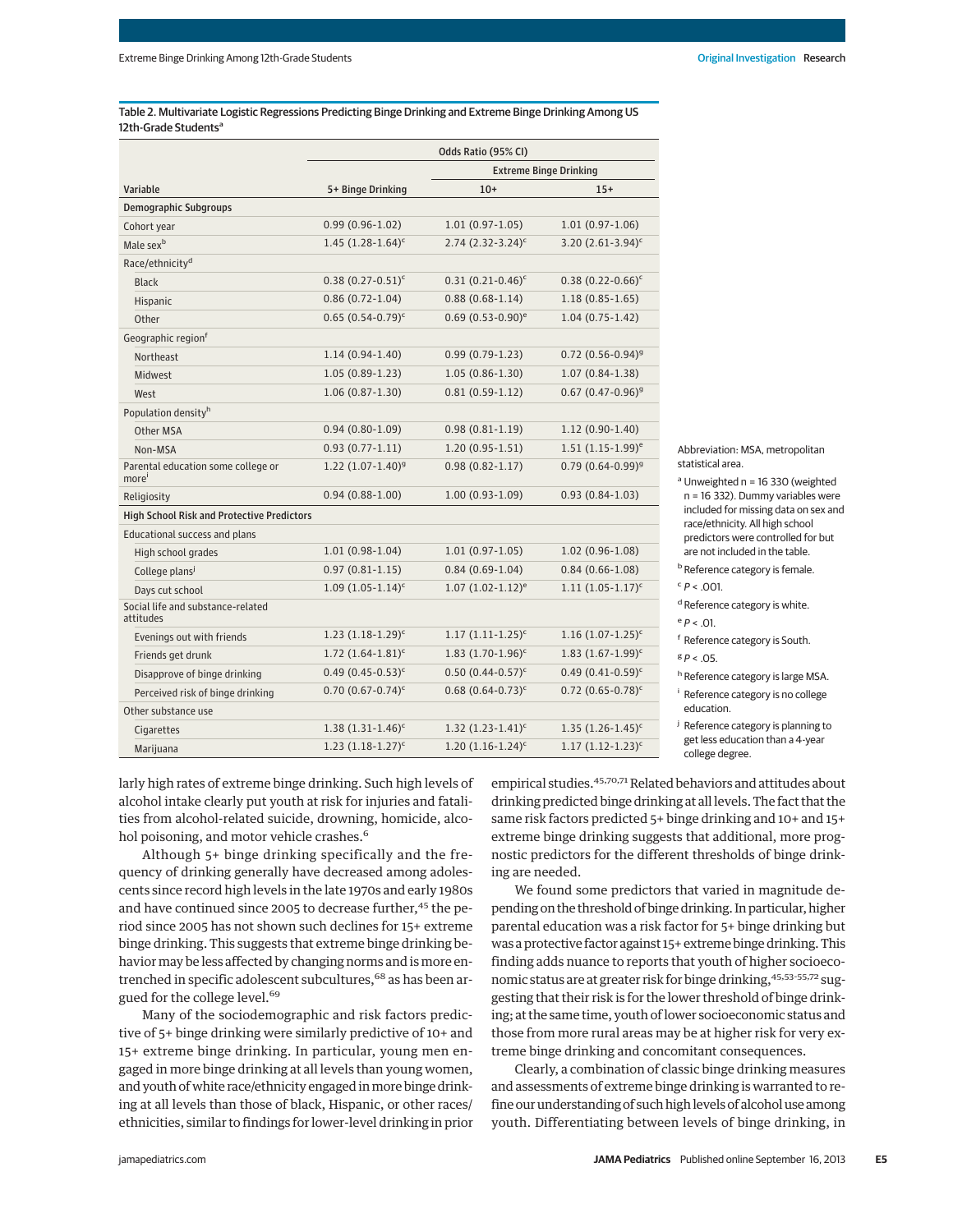Table 2. Multivariate Logistic Regressions Predicting Binge Drinking and Extreme Binge Drinking Among US 12th-Grade Students<sup>a</sup>

|                                                   | Odds Ratio (95% CI)      |                                 |                                   |
|---------------------------------------------------|--------------------------|---------------------------------|-----------------------------------|
|                                                   |                          | <b>Extreme Binge Drinking</b>   |                                   |
| Variable                                          | 5+ Binge Drinking        | $10+$                           | $15+$                             |
| <b>Demographic Subgroups</b>                      |                          |                                 |                                   |
| Cohort year                                       | $0.99(0.96 - 1.02)$      | $1.01(0.97-1.05)$               | $1.01(0.97-1.06)$                 |
| Male sex <sup>b</sup>                             | $1.45$ $(1.28-1.64)^c$   | $2.74$ (2.32-3.24) <sup>c</sup> | 3.20 $(2.61-3.94)^c$              |
| Race/ethnicity <sup>d</sup>                       |                          |                                 |                                   |
| <b>Black</b>                                      | $0.38(0.27 - 0.51)^c$    | $0.31 (0.21 - 0.46)^c$          | $0.38(0.22 - 0.66)^c$             |
| Hispanic                                          | $0.86(0.72 - 1.04)$      | $0.88(0.68-1.14)$               | $1.18(0.85 - 1.65)$               |
| Other                                             | $0.65(0.54-0.79)^c$      | $0.69(0.53-0.90)^e$             | $1.04(0.75-1.42)$                 |
| Geographic region <sup>f</sup>                    |                          |                                 |                                   |
| Northeast                                         | $1.14(0.94-1.40)$        | $0.99(0.79-1.23)$               | $0.72$ (0.56-0.94) <sup>g</sup>   |
| <b>Midwest</b>                                    | $1.05(0.89-1.23)$        | $1.05(0.86 - 1.30)$             | $1.07(0.84-1.38)$                 |
| West                                              | $1.06(0.87-1.30)$        | $0.81(0.59-1.12)$               | $0.67$ $(0.47 - 0.96)^{9}$        |
| Population density <sup>h</sup>                   |                          |                                 |                                   |
| Other MSA                                         | $0.94(0.80-1.09)$        | $0.98(0.81 - 1.19)$             | $1.12(0.90-1.40)$                 |
| Non-MSA                                           | $0.93(0.77-1.11)$        | $1.20(0.95 - 1.51)$             | $1.51$ $(1.15-1.99)$ <sup>e</sup> |
| Parental education some college or<br>more'       | $1.22 (1.07 - 1.40)^9$   | $0.98(0.82 - 1.17)$             | $0.79(0.64 - 0.99)^9$             |
| Religiosity                                       | $0.94(0.88-1.00)$        | $1.00(0.93-1.09)$               | $0.93(0.84-1.03)$                 |
| <b>High School Risk and Protective Predictors</b> |                          |                                 |                                   |
| Educational success and plans                     |                          |                                 |                                   |
| High school grades                                | $1.01(0.98-1.04)$        | $1.01(0.97-1.05)$               | $1.02(0.96-1.08)$                 |
| College plans <sup>j</sup>                        | $0.97(0.81 - 1.15)$      | $0.84(0.69-1.04)$               | $0.84(0.66 - 1.08)$               |
| Days cut school                                   | $1.09(1.05-1.14)^c$      | $1.07 (1.02 - 1.12)^e$          | $1.11(1.05-1.17)^c$               |
| Social life and substance-related<br>attitudes    |                          |                                 |                                   |
| Evenings out with friends                         | $1.23$ $(1.18-1.29)^c$   | $1.17(1.11-1.25)^c$             | $1.16$ $(1.07 - 1.25)^c$          |
| Friends get drunk                                 | $1.72$ $(1.64 - 1.81)^c$ | $1.83$ $(1.70 - 1.96)^c$        | $1.83$ $(1.67 - 1.99)^c$          |
| Disapprove of binge drinking                      | $0.49(0.45-0.53)^c$      | $0.50(0.44 - 0.57)^c$           | $0.49(0.41 - 0.59)^c$             |
| Perceived risk of binge drinking                  | $0.70(0.67 - 0.74)^c$    | $0.68$ $(0.64 - 0.73)^c$        | $0.72$ $(0.65 - 0.78)^c$          |
| Other substance use                               |                          |                                 |                                   |
| Cigarettes                                        | $1.38(1.31-1.46)^c$      | $1.32$ $(1.23-1.41)^c$          | $1.35(1.26-1.45)^c$               |
| Marijuana                                         | $1.23$ $(1.18-1.27)^c$   | $1.20(1.16-1.24)^c$             | $1.17(1.12-1.23)^c$               |

Abbreviation: MSA, metropolitan statistical area.

 $a$  Unweighted n = 16 330 (weighted n = 16 332). Dummy variables were included for missing data on sex and race/ethnicity. All high school predictors were controlled for but are not included in the table.

**b** Reference category is female.

 $c$   $P < .001$ .

<sup>d</sup> Reference category is white.

 $e$   $P < .01$ .

<sup>f</sup> Reference category is South.  $g p < 0.5$ 

h Reference category is large MSA.

<sup>i</sup> Reference category is no college education.

<sup>j</sup> Reference category is planning to get less education than a 4-year college degree.

larly high rates of extreme binge drinking. Such high levels of alcohol intake clearly put youth at risk for injuries and fatalities from alcohol-related suicide, drowning, homicide, alcohol poisoning, and motor vehicle crashes.<sup>6</sup>

Although 5+ binge drinking specifically and the frequency of drinking generally have decreased among adolescents since record high levels in the late 1970s and early 1980s and have continued since 2005 to decrease further,<sup>45</sup> the period since 2005 has not shown such declines for 15+ extreme binge drinking. This suggests that extreme binge drinking behavior may be less affected by changing norms and is more entrenched in specific adolescent subcultures,<sup>68</sup> as has been argued for the college level.<sup>69</sup>

Many of the sociodemographic and risk factors predictive of 5+ binge drinking were similarly predictive of 10+ and 15+ extreme binge drinking. In particular, young men engaged in more binge drinking at all levels than young women, and youth of white race/ethnicity engaged in more binge drinking at all levels than those of black, Hispanic, or other races/ ethnicities, similar to findings for lower-level drinking in prior empirical studies.<sup>45,70,71</sup> Related behaviors and attitudes about drinking predicted binge drinking at all levels. The fact that the same risk factors predicted 5+ binge drinking and 10+ and 15+ extreme binge drinking suggests that additional, more prognostic predictors for the different thresholds of binge drinking are needed.

We found some predictors that varied in magnitude depending on the threshold of binge drinking. In particular, higher parental education was a risk factor for 5+ binge drinking but was a protective factor against 15+ extreme binge drinking. This finding adds nuance to reports that youth of higher socioeconomic status are at greater risk for binge drinking, 45,53-55,72 suggesting that their risk is for the lower threshold of binge drinking; at the same time, youth of lower socioeconomic status and those from more rural areas may be at higher risk for very extreme binge drinking and concomitant consequences.

Clearly, a combination of classic binge drinking measures and assessments of extreme binge drinking is warranted to refine our understanding of such high levels of alcohol use among youth. Differentiating between levels of binge drinking, in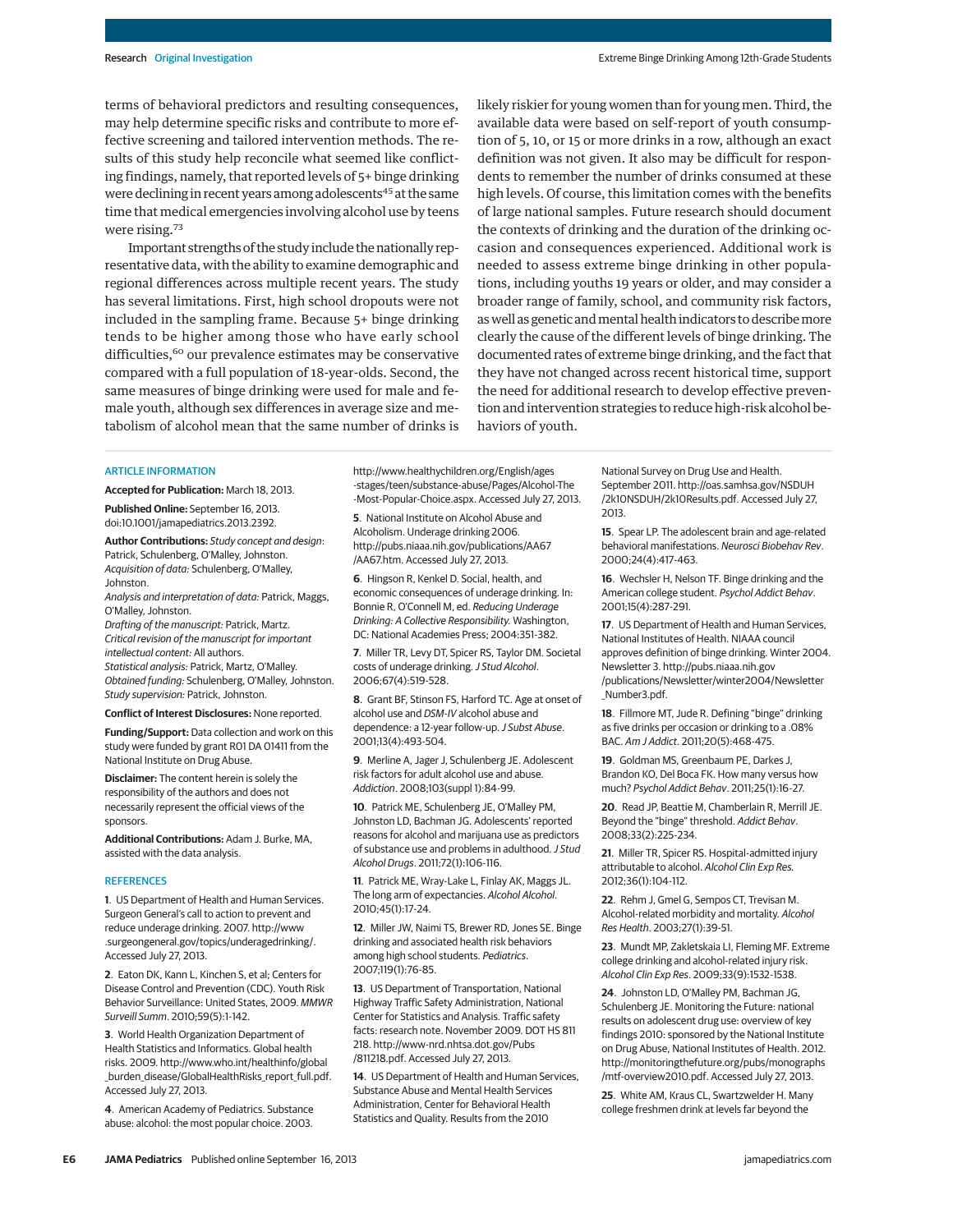terms of behavioral predictors and resulting consequences, may help determine specific risks and contribute to more effective screening and tailored intervention methods. The results of this study help reconcile what seemed like conflicting findings, namely, that reported levels of 5+ binge drinking were declining in recent years among adolescents<sup>45</sup> at the same time that medical emergencies involving alcohol use by teens were rising.<sup>73</sup>

Important strengths of the study include the nationally representative data, with the ability to examine demographic and regional differences across multiple recent years. The study has several limitations. First, high school dropouts were not included in the sampling frame. Because 5+ binge drinking tends to be higher among those who have early school difficulties,<sup>60</sup> our prevalence estimates may be conservative compared with a full population of 18-year-olds. Second, the same measures of binge drinking were used for male and female youth, although sex differences in average size and metabolism of alcohol mean that the same number of drinks is likely riskier for young women than for young men. Third, the available data were based on self-report of youth consumption of 5, 10, or 15 or more drinks in a row, although an exact definition was not given. It also may be difficult for respondents to remember the number of drinks consumed at these high levels. Of course, this limitation comes with the benefits of large national samples. Future research should document the contexts of drinking and the duration of the drinking occasion and consequences experienced. Additional work is needed to assess extreme binge drinking in other populations, including youths 19 years or older, and may consider a broader range of family, school, and community risk factors, aswell as genetic andmental health indicators to describemore clearly the cause of the different levels of binge drinking. The documented rates of extreme binge drinking, and the fact that they have not changed across recent historical time, support the need for additional research to develop effective prevention and intervention strategies to reduce high-risk alcohol behaviors of youth.

#### ARTICLE INFORMATION

**Accepted for Publication:** March 18, 2013. **Published Online:** September 16, 2013. doi:10.1001/jamapediatrics.2013.2392.

**Author Contributions:** Study concept and design: Patrick, Schulenberg, O'Malley, Johnston. Acquisition of data: Schulenberg, O'Malley, Johnston.

Analysis and interpretation of data: Patrick, Maggs, O'Malley, Johnston.

Drafting of the manuscript: Patrick, Martz. Critical revision of the manuscript for important intellectual content: All authors. Statistical analysis: Patrick, Martz, O'Malley. Obtained funding: Schulenberg, O'Malley, Johnston. Study supervision: Patrick, Johnston.

**Conflict of Interest Disclosures:** None reported.

**Funding/Support:** Data collection and work on this study were funded by grant R01 DA 01411 from the National Institute on Drug Abuse.

**Disclaimer:** The content herein is solely the responsibility of the authors and does not necessarily represent the official views of the sponsors.

**Additional Contributions:** Adam J. Burke, MA, assisted with the data analysis.

#### **REFERENCES**

**1**. US Department of Health and Human Services. Surgeon General's call to action to prevent and reduce underage drinking. 2007. http://www .surgeongeneral.gov/topics/underagedrinking/. Accessed July 27, 2013.

**2**. Eaton DK, Kann L, Kinchen S, et al; Centers for Disease Control and Prevention (CDC). Youth Risk Behavior Surveillance: United States, 2009. MMWR Surveill Summ. 2010;59(5):1-142.

**3**. World Health Organization Department of Health Statistics and Informatics. Global health risks. 2009. http://www.who.int/healthinfo/global burden disease/GlobalHealthRisks report full.pdf. Accessed July 27, 2013.

**4**. American Academy of Pediatrics. Substance abuse: alcohol: the most popular choice. 2003.

http://www.healthychildren.org/English/ages -stages/teen/substance-abuse/Pages/Alcohol-The -Most-Popular-Choice.aspx. Accessed July 27, 2013.

**5**. National Institute on Alcohol Abuse and Alcoholism. Underage drinking 2006. http://pubs.niaaa.nih.gov/publications/AA67 /AA67.htm. Accessed July 27, 2013.

**6**. Hingson R, Kenkel D. Social, health, and economic consequences of underage drinking. In: Bonnie R, O'Connell M, ed. Reducing Underage Drinking: A Collective Responsibility. Washington, DC: National Academies Press; 2004:351-382.

**7**. Miller TR, Levy DT, Spicer RS, Taylor DM. Societal costs of underage drinking. J Stud Alcohol. 2006;67(4):519-528.

**8**. Grant BF, Stinson FS, Harford TC. Age at onset of alcohol use and DSM-IV alcohol abuse and dependence: a 12-year follow-up.J Subst Abuse. 2001;13(4):493-504.

**9**. Merline A, Jager J, Schulenberg JE. Adolescent risk factors for adult alcohol use and abuse. Addiction. 2008;103(suppl 1):84-99.

**10**. Patrick ME, Schulenberg JE, O'Malley PM, Johnston LD, Bachman JG. Adolescents' reported reasons for alcohol and marijuana use as predictors of substance use and problems in adulthood. J Stud Alcohol Drugs. 2011;72(1):106-116.

**11**. Patrick ME, Wray-Lake L, Finlay AK, Maggs JL. The long arm of expectancies. Alcohol Alcohol. 2010;45(1):17-24.

**12**. Miller JW, Naimi TS, Brewer RD, Jones SE. Binge drinking and associated health risk behaviors among high school students. Pediatrics. 2007;119(1):76-85.

**13**. US Department of Transportation, National Highway Traffic Safety Administration, National Center for Statistics and Analysis. Traffic safety facts: research note. November 2009. DOT HS 811 218. http://www-nrd.nhtsa.dot.gov/Pubs /811218.pdf. Accessed July 27, 2013.

**14**. US Department of Health and Human Services, Substance Abuse and Mental Health Services Administration, Center for Behavioral Health Statistics and Quality. Results from the 2010

National Survey on Drug Use and Health. September 2011. http://oas.samhsa.gov/NSDUH /2k10NSDUH/2k10Results.pdf. Accessed July 27, 2013.

**15**. Spear LP. The adolescent brain and age-related behavioral manifestations. Neurosci Biobehav Rev. 2000;24(4):417-463.

**16**. Wechsler H, Nelson TF. Binge drinking and the American college student. Psychol Addict Behav. 2001;15(4):287-291.

**17**. US Department of Health and Human Services, National Institutes of Health. NIAAA council approves definition of binge drinking. Winter 2004. Newsletter 3. http://pubs.niaaa.nih.gov /publications/Newsletter/winter2004/Newsletter Number3.pdf.

**18**. Fillmore MT, Jude R. Defining "binge" drinking as five drinks per occasion or drinking to a .08% BAC. Am J Addict. 2011;20(5):468-475.

**19**. Goldman MS, Greenbaum PE, Darkes J, Brandon KO, Del Boca FK. How many versus how much? Psychol Addict Behav. 2011;25(1):16-27.

**20**. Read JP, Beattie M, Chamberlain R, Merrill JE. Beyond the "binge" threshold. Addict Behav. 2008;33(2):225-234.

**21**. Miller TR, Spicer RS. Hospital-admitted injury attributable to alcohol. Alcohol Clin Exp Res. 2012;36(1):104-112.

**22**. Rehm J, Gmel G, Sempos CT, Trevisan M. Alcohol-related morbidity and mortality. Alcohol Res Health. 2003;27(1):39-51.

**23**. Mundt MP, Zakletskaia LI, Fleming MF. Extreme college drinking and alcohol-related injury risk. Alcohol Clin Exp Res. 2009;33(9):1532-1538.

**24**. Johnston LD, O'Malley PM, Bachman JG, Schulenberg JE. Monitoring the Future: national results on adolescent drug use: overview of key findings 2010: sponsored by the National Institute on Drug Abuse, National Institutes of Health. 2012. http://monitoringthefuture.org/pubs/monographs /mtf-overview2010.pdf. Accessed July 27, 2013.

**25**. White AM, Kraus CL, Swartzwelder H. Many college freshmen drink at levels far beyond the